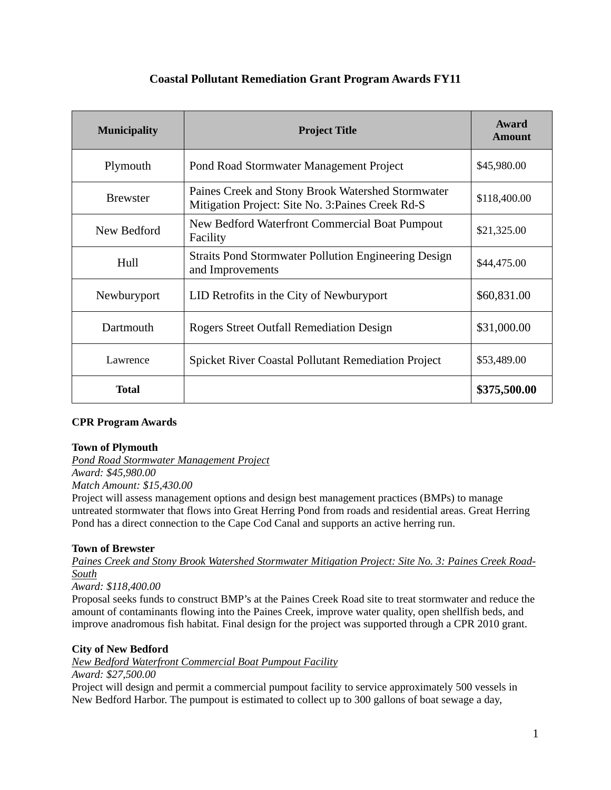# **Coastal Pollutant Remediation Grant Program Awards FY11**

| <b>Municipality</b> | <b>Project Title</b>                                                                                   | Award<br><b>Amount</b> |
|---------------------|--------------------------------------------------------------------------------------------------------|------------------------|
| Plymouth            | Pond Road Stormwater Management Project                                                                | \$45,980.00            |
| <b>Brewster</b>     | Paines Creek and Stony Brook Watershed Stormwater<br>Mitigation Project: Site No. 3: Paines Creek Rd-S | \$118,400.00           |
| New Bedford         | New Bedford Waterfront Commercial Boat Pumpout<br>Facility                                             | \$21,325.00            |
| Hull                | <b>Straits Pond Stormwater Pollution Engineering Design</b><br>and Improvements                        | \$44,475.00            |
| Newburyport         | LID Retrofits in the City of Newburyport                                                               | \$60,831.00            |
| Dartmouth           | Rogers Street Outfall Remediation Design                                                               | \$31,000.00            |
| Lawrence            | <b>Spicket River Coastal Pollutant Remediation Project</b>                                             | \$53,489.00            |
| <b>Total</b>        |                                                                                                        | \$375,500.00           |

# **CPR Program Awards**

### **Town of Plymouth**

*Pond Road Stormwater Management Project Award: \$45,980.00* 

*Match Amount: \$15,430.00* 

Project will assess management options and design best management practices (BMPs) to manage untreated stormwater that flows into Great Herring Pond from roads and residential areas. Great Herring Pond has a direct connection to the Cape Cod Canal and supports an active herring run.

# **Town of Brewster**

*Paines Creek and Stony Brook Watershed Stormwater Mitigation Project: Site No. 3: Paines Creek Road-South*

### *Award: \$118,400.00*

Proposal seeks funds to construct BMP's at the Paines Creek Road site to treat stormwater and reduce the amount of contaminants flowing into the Paines Creek, improve water quality, open shellfish beds, and improve anadromous fish habitat. Final design for the project was supported through a CPR 2010 grant.

### **City of New Bedford**

*New Bedford Waterfront Commercial Boat Pumpout Facility*

### *Award: \$27,500.00*

Project will design and permit a commercial pumpout facility to service approximately 500 vessels in New Bedford Harbor. The pumpout is estimated to collect up to 300 gallons of boat sewage a day,